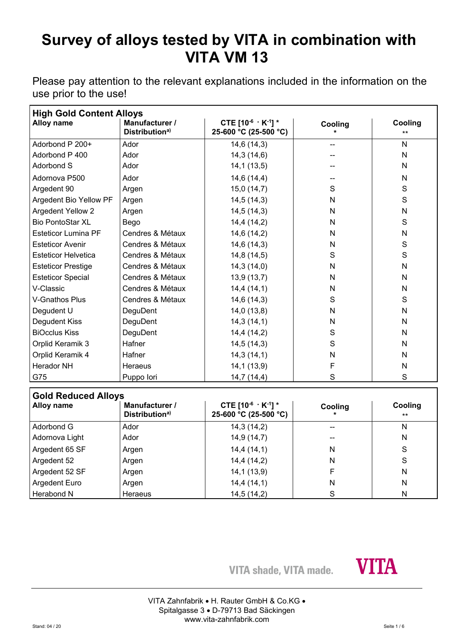Please pay attention to the relevant explanations included in the information on the use prior to the use!

| <b>High Gold Content Alloys</b> |                                              |                                                         |              |                  |
|---------------------------------|----------------------------------------------|---------------------------------------------------------|--------------|------------------|
| Alloy name                      | Manufacturer /<br>Distribution <sup>a)</sup> | CTE $[10^{-6} \cdot K^{-1}]$ *<br>25-600 °C (25-500 °C) | Cooling      | Cooling<br>$***$ |
| Adorbond P 200+                 | Ador                                         | 14,6(14,3)                                              | --           | N                |
| Adorbond P 400                  | Ador                                         | 14,3(14,6)                                              |              | N                |
| <b>Adorbond S</b>               | Ador                                         | 14,1(13,5)                                              |              | N                |
| Adornova P500                   | Ador                                         | 14,6 (14,4)                                             |              | N                |
| Argedent 90                     | Argen                                        | 15,0(14,7)                                              | S            | $\mathbf S$      |
| Argedent Bio Yellow PF          | Argen                                        | 14,5(14,3)                                              | N            | $\mathbf S$      |
| <b>Argedent Yellow 2</b>        | Argen                                        | 14,5(14,3)                                              | N            | N                |
| <b>Bio PontoStar XL</b>         | Bego                                         | 14,4(14,2)                                              | $\mathsf{N}$ | S                |
| <b>Esteticor Lumina PF</b>      | Cendres & Métaux                             | 14,6 (14,2)                                             | N            | $\mathsf{N}$     |
| <b>Esteticor Avenir</b>         | Cendres & Métaux                             | 14,6(14,3)                                              | N            | $\mathbf S$      |
| <b>Esteticor Helvetica</b>      | Cendres & Métaux                             | 14,8(14,5)                                              | $\mathbf S$  | $\mathbf S$      |
| <b>Esteticor Prestige</b>       | Cendres & Métaux                             | 14,3(14,0)                                              | N            | N                |
| <b>Esteticor Special</b>        | Cendres & Métaux                             | 13,9(13,7)                                              | N            | N                |
| V-Classic                       | Cendres & Métaux                             | 14,4(14,1)                                              | N            | N                |
| <b>V-Gnathos Plus</b>           | Cendres & Métaux                             | 14,6(14,3)                                              | S            | $\mathbf S$      |
| Degudent U                      | DeguDent                                     | 14,0(13,8)                                              | N            | N                |
| Degudent Kiss                   | DeguDent                                     | 14,3(14,1)                                              | $\mathsf{N}$ | $\mathsf{N}$     |
| <b>BiOcclus Kiss</b>            | DeguDent                                     | 14,4 (14,2)                                             | S            | N                |
| Orplid Keramik 3                | Hafner                                       | 14,5(14,3)                                              | S            | N                |
| Orplid Keramik 4                | Hafner                                       | 14,3(14,1)                                              | N            | N                |
| <b>Herador NH</b>               | Heraeus                                      | 14,1(13,9)                                              | F            | $\mathsf{N}$     |
| G75                             | Puppo lori                                   | 14,7(14,4)                                              | S            | S                |
| <b>Gold Reduced Alloys</b>      |                                              |                                                         |              |                  |
| Alloy name                      | Manufacturer /<br>Distribution <sup>a)</sup> | CTE [10-6 · K-1] *<br>25-600 °C (25-500 °C)             | Cooling      | Cooling<br>**    |
| <b>Adorbond G</b>               | Ador                                         | 14,3(14,2)                                              |              | $\mathsf{N}$     |
| Adornova Light                  | Ador                                         | 14,9 (14,7)                                             |              | N                |

| l Adorbond G         | Ador           | 14,3 (14,2) |    |  |
|----------------------|----------------|-------------|----|--|
| Adornova Light       | Ador           | 14,9(14,7)  | -- |  |
| Argedent 65 SF       | Argen          | 14,4(14,1)  | N  |  |
| Argedent 52          | Argen          | 14,4 (14,2) | N  |  |
| Argedent 52 SF       | Argen          | 14,1(13,9)  |    |  |
| <b>Argedent Euro</b> | Argen          | 14,4(14,1)  | N  |  |
| Herabond N           | <b>Heraeus</b> | 14,5(14,2)  |    |  |

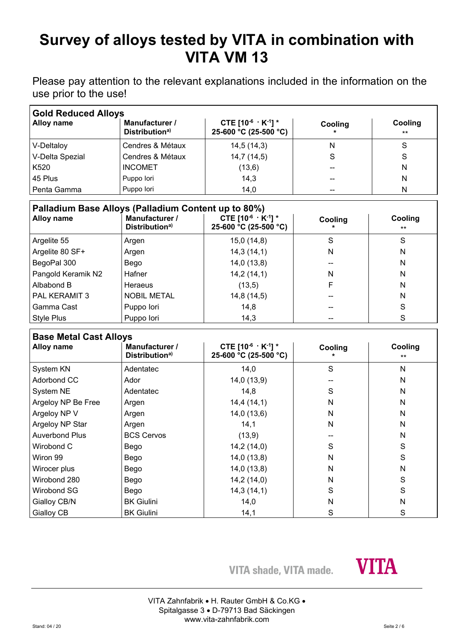Please pay attention to the relevant explanations included in the information on the use prior to the use!

| <b>Gold Reduced Alloys</b> |                                              |                                                         |         |                  |  |
|----------------------------|----------------------------------------------|---------------------------------------------------------|---------|------------------|--|
| Alloy name                 | Manufacturer /<br>Distribution <sup>a)</sup> | CTE $[10^{-6} \cdot K^{-1}]$ *<br>25-600 °C (25-500 °C) | Cooling | Cooling<br>$***$ |  |
| V-Deltaloy                 | Cendres & Métaux                             | 14,5(14,3)                                              | N       |                  |  |
| V-Delta Spezial            | Cendres & Métaux                             | 14,7(14,5)                                              | S       | S                |  |
| K <sub>520</sub>           | <b>INCOMET</b>                               | (13,6)                                                  | --      | Ν                |  |
| 45 Plus                    | Puppo lori                                   | 14,3                                                    | --      | N                |  |
| Penta Gamma                | Puppo lori                                   | 14,0                                                    | --      | N                |  |

| Palladium Base Alloys (Palladium Content up to 80%) |                                              |                                                         |         |                  |
|-----------------------------------------------------|----------------------------------------------|---------------------------------------------------------|---------|------------------|
| <b>Alloy name</b>                                   | Manufacturer /<br>Distribution <sup>a)</sup> | CTE $[10^{-6} \cdot K^{-1}]$ *<br>25-600 °C (25-500 °C) | Cooling | Cooling<br>$***$ |
| Argelite 55                                         | Argen                                        | 15,0(14,8)                                              | S       | S                |
| Argelite 80 SF+                                     | Argen                                        | 14,3(14,1)                                              | N       | N                |
| BegoPal 300                                         | Bego                                         | 14,0(13,8)                                              |         | N                |
| Pangold Keramik N2                                  | Hafner                                       | 14,2(14,1)                                              | N       | N                |
| Albabond B                                          | Heraeus                                      | (13,5)                                                  |         | N                |
| <b>PAL KERAMIT 3</b>                                | <b>NOBIL METAL</b>                           | 14,8 (14,5)                                             |         | N                |
| Gamma Cast                                          | Puppo lori                                   | 14,8                                                    |         | S                |
| Style Plus                                          | Puppo lori                                   | 14,3                                                    | --      | S                |

### **Base Metal Cast Alloys**

| Dase Metal Oast Alloys<br>Alloy name | Manufacturer /<br>Distribution <sup>a)</sup> | CTE $[10^{-6} \cdot K^{-1}]$ *<br>25-600 °C (25-500 °C) | Cooling | Cooling<br>$***$ |
|--------------------------------------|----------------------------------------------|---------------------------------------------------------|---------|------------------|
| System KN                            | Adentatec                                    | 14,0                                                    | S       | N                |
| Adorbond CC                          | Ador                                         | 14,0(13,9)                                              |         | N                |
| System NE                            | Adentatec                                    | 14,8                                                    | S       | N                |
| Argeloy NP Be Free                   | Argen                                        | 14,4(14,1)                                              | N       | N                |
| Argeloy NP V                         | Argen                                        | 14,0(13,6)                                              | N       | N                |
| Argeloy NP Star                      | Argen                                        | 14,1                                                    | N       | N                |
| <b>Auverbond Plus</b>                | <b>BCS Cervos</b>                            | (13,9)                                                  |         | N                |
| Wirobond C                           | Bego                                         | 14,2(14,0)                                              | S       | S                |
| Wiron 99                             | Bego                                         | 14,0(13,8)                                              | N       | S                |
| Wirocer plus                         | Bego                                         | 14,0(13,8)                                              | N       | N                |
| Wirobond 280                         | Bego                                         | 14,2(14,0)                                              | N       | $\mathsf S$      |
| Wirobond SG                          | Bego                                         | 14,3(14,1)                                              | S       | S                |
| Gialloy CB/N                         | <b>BK Giulini</b>                            | 14,0                                                    | N       | N                |
| Gialloy CB                           | <b>BK Giulini</b>                            | 14,1                                                    | S       | S                |

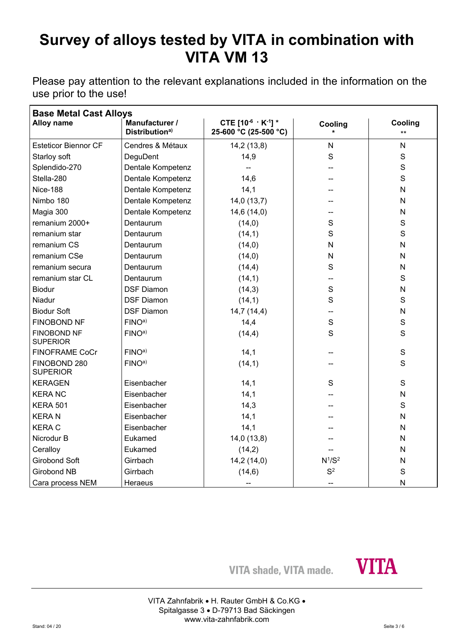Please pay attention to the relevant explanations included in the information on the use prior to the use!

| <b>Base Metal Cast Alloys</b>         |                                              |                                                   |                                |                  |  |
|---------------------------------------|----------------------------------------------|---------------------------------------------------|--------------------------------|------------------|--|
| Alloy name                            | Manufacturer /<br>Distribution <sup>a)</sup> | CTE [10-6 $\cdot$ K-1] *<br>25-600 °C (25-500 °C) | Cooling                        | Cooling<br>$***$ |  |
| <b>Esteticor Biennor CF</b>           | Cendres & Métaux                             | 14,2(13,8)                                        | $\mathsf{N}$                   | N                |  |
| Starloy soft                          | DeguDent                                     | 14,9                                              | S                              | S                |  |
| Splendido-270                         | Dentale Kompetenz                            |                                                   |                                | $\mathbf S$      |  |
| Stella-280                            | Dentale Kompetenz                            | 14,6                                              |                                | S                |  |
| <b>Nice-188</b>                       | Dentale Kompetenz                            | 14,1                                              |                                | N                |  |
| Nimbo 180                             | Dentale Kompetenz                            | 14,0(13,7)                                        |                                | N                |  |
| Magia 300                             | Dentale Kompetenz                            | 14,6(14,0)                                        |                                | N                |  |
| remanium 2000+                        | Dentaurum                                    | (14,0)                                            | S                              | $\mathbf S$      |  |
| remanium star                         | Dentaurum                                    | (14,1)                                            | $\mathsf{S}$                   | S                |  |
| remanium CS                           | Dentaurum                                    | (14,0)                                            | $\mathsf{N}$                   | N                |  |
| remanium CSe                          | Dentaurum                                    | (14, 0)                                           | $\mathsf{N}$                   | N                |  |
| remanium secura                       | Dentaurum                                    | (14,4)                                            | S                              | N                |  |
| remanium star CL                      | Dentaurum                                    | (14,1)                                            |                                | $\mathbf S$      |  |
| <b>Biodur</b>                         | <b>DSF Diamon</b>                            | (14,3)                                            | $\mathsf{S}$                   | N                |  |
| Niadur                                | <b>DSF Diamon</b>                            | (14,1)                                            | S                              | S                |  |
| <b>Biodur Soft</b>                    | <b>DSF Diamon</b>                            | 14,7(14,4)                                        | --                             | N                |  |
| <b>FINOBOND NF</b>                    | FINO <sup>a</sup>                            | 14,4                                              | $\mathsf{S}$                   | $\mathbf S$      |  |
| <b>FINOBOND NF</b><br><b>SUPERIOR</b> | FINO <sup>a</sup>                            | (14,4)                                            | S                              | S                |  |
| <b>FINOFRAME CoCr</b>                 | FINO <sup>a</sup>                            | 14,1                                              |                                | $\mathbf S$      |  |
| FINOBOND 280<br><b>SUPERIOR</b>       | FINO <sup>a</sup>                            | (14,1)                                            |                                | S                |  |
| <b>KERAGEN</b>                        | Eisenbacher                                  | 14,1                                              | S                              | S                |  |
| <b>KERANC</b>                         | Eisenbacher                                  | 14,1                                              |                                | N                |  |
| <b>KERA 501</b>                       | Eisenbacher                                  | 14,3                                              |                                | $\mathbf S$      |  |
| <b>KERAN</b>                          | Eisenbacher                                  | 14,1                                              |                                | N                |  |
| <b>KERAC</b>                          | Eisenbacher                                  | 14,1                                              |                                | N                |  |
| Nicrodur B                            | Eukamed                                      | 14,0(13,8)                                        |                                | N                |  |
| Ceralloy                              | Eukamed                                      | (14,2)                                            |                                | N                |  |
| <b>Girobond Soft</b>                  | Girrbach                                     | 14,2 (14,0)                                       | N <sup>1</sup> /S <sup>2</sup> | N                |  |
| <b>Girobond NB</b>                    | Girrbach                                     | (14, 6)                                           | S <sup>2</sup>                 | S                |  |
| Cara process NEM                      | Heraeus                                      |                                                   |                                | $\mathsf{N}$     |  |

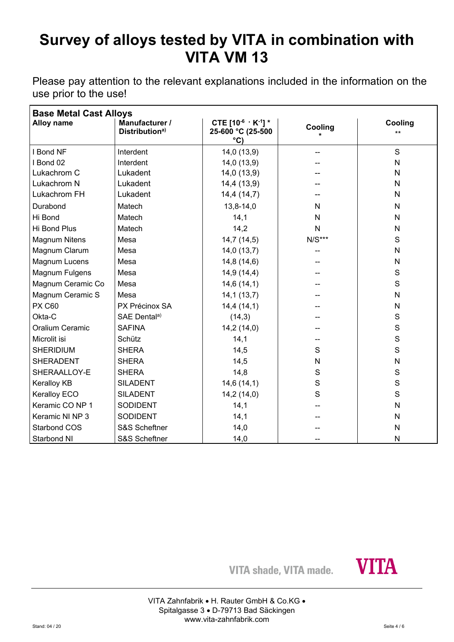Please pay attention to the relevant explanations included in the information on the use prior to the use!

| <b>Base Metal Cast Alloys</b> |                                              |                                                                      |              |                  |  |
|-------------------------------|----------------------------------------------|----------------------------------------------------------------------|--------------|------------------|--|
| <b>Alloy name</b>             | Manufacturer /<br>Distribution <sup>a)</sup> | CTE $[10^{-6} \cdot K^{-1}]$ *<br>25-600 °C (25-500<br>$^{\circ}$ C) | Cooling      | Cooling<br>$***$ |  |
| I Bond NF                     | Interdent                                    | 14,0 (13,9)                                                          |              | S                |  |
| I Bond 02                     | Interdent                                    | 14,0(13,9)                                                           |              | N                |  |
| Lukachrom C                   | Lukadent                                     | 14,0(13,9)                                                           |              | N                |  |
| Lukachrom N                   | Lukadent                                     | 14,4 (13,9)                                                          |              | N                |  |
| Lukachrom FH                  | Lukadent                                     | 14,4(14,7)                                                           |              | N                |  |
| Durabond                      | Matech                                       | 13,8-14,0                                                            | N            | N                |  |
| Hi Bond                       | Matech                                       | 14,1                                                                 | N            | $\mathsf{N}$     |  |
| Hi Bond Plus                  | Matech                                       | 14,2                                                                 | $\mathsf{N}$ | $\mathsf{N}$     |  |
| <b>Magnum Nitens</b>          | Mesa                                         | 14,7(14,5)                                                           | $N/S***$     | S                |  |
| Magnum Clarum                 | Mesa                                         | 14,0(13,7)                                                           |              | N                |  |
| Magnum Lucens                 | Mesa                                         | 14,8(14,6)                                                           |              | N                |  |
| Magnum Fulgens                | Mesa                                         | 14,9(14,4)                                                           |              | S                |  |
| Magnum Ceramic Co             | Mesa                                         | 14,6(14,1)                                                           |              | S                |  |
| Magnum Ceramic S              | Mesa                                         | 14,1(13,7)                                                           |              | $\mathsf{N}$     |  |
| <b>PX C60</b>                 | PX Précinox SA                               | 14,4(14,1)                                                           |              | N                |  |
| Okta-C                        | SAE Dentala)                                 | (14,3)                                                               |              | $\mathsf{S}$     |  |
| Oralium Ceramic               | <b>SAFINA</b>                                | 14,2(14,0)                                                           |              | $\mathsf{S}$     |  |
| Microlit isi                  | Schütz                                       | 14,1                                                                 |              | $\mathbf S$      |  |
| <b>SHERIDIUM</b>              | <b>SHERA</b>                                 | 14,5                                                                 | S            | S                |  |
| <b>SHERADENT</b>              | <b>SHERA</b>                                 | 14,5                                                                 | N            | N                |  |
| SHERAALLOY-E                  | <b>SHERA</b>                                 | 14,8                                                                 | $\mathsf S$  | $\mathsf S$      |  |
| <b>Keralloy KB</b>            | <b>SILADENT</b>                              | 14,6(14,1)                                                           | S            | S                |  |
| Keralloy ECO                  | <b>SILADENT</b>                              | 14,2(14,0)                                                           | S            | S                |  |
| Keramic CO NP 1               | <b>SODIDENT</b>                              | 14,1                                                                 |              | $\mathsf{N}$     |  |
| Keramic NI NP 3               | <b>SODIDENT</b>                              | 14,1                                                                 |              | N                |  |
| <b>Starbond COS</b>           | S&S Scheftner                                | 14,0                                                                 |              | N                |  |
| Starbond NI                   | S&S Scheftner                                | 14,0                                                                 |              | $\mathsf{N}$     |  |

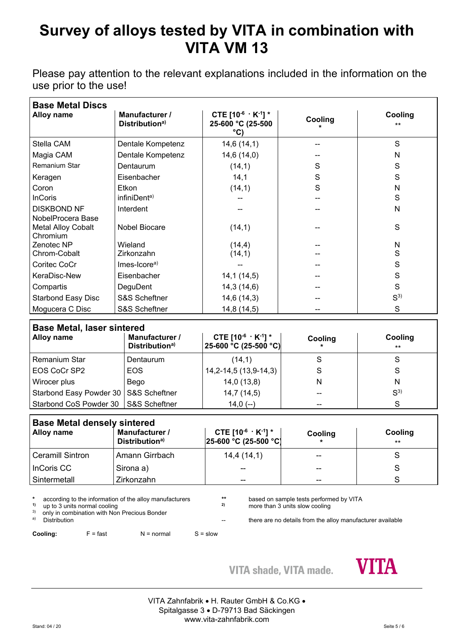Please pay attention to the relevant explanations included in the information on the use prior to the use!

| <b>Base Metal Discs</b>                                    |                                              |                                                            |         |                  |  |
|------------------------------------------------------------|----------------------------------------------|------------------------------------------------------------|---------|------------------|--|
| Alloy name                                                 | Manufacturer /<br>Distribution <sup>a)</sup> | CTE $[10^{-6} \cdot K^{-1}]$ *<br>25-600 °C (25-500<br>°CI | Cooling | Cooling<br>$***$ |  |
| Stella CAM                                                 | Dentale Kompetenz                            | 14,6(14,1)                                                 |         | S                |  |
| Magia CAM                                                  | Dentale Kompetenz                            | 14,6(14,0)                                                 |         | N                |  |
| Remanium Star                                              | Dentaurum                                    | (14,1)                                                     | S       | S                |  |
| Keragen                                                    | Eisenbacher                                  | 14,1                                                       | S       | S                |  |
| Coron                                                      | Etkon                                        | (14,1)                                                     | S       | N                |  |
| <b>InCoris</b>                                             | infiniDent <sup>a)</sup>                     |                                                            |         | S                |  |
| <b>DISKBOND NF</b>                                         | Interdent                                    |                                                            |         | N                |  |
| NobelProcera Base<br><b>Metal Alloy Cobalt</b><br>Chromium | Nobel Biocare                                | (14,1)                                                     |         | S                |  |
| Zenotec NP                                                 | Wieland                                      | (14,4)                                                     |         | N                |  |
| Chrom-Cobalt                                               | Zirkonzahn                                   | (14,1)                                                     |         | S                |  |
| Coritec CoCr                                               | $Imes-Icorea$                                |                                                            |         | S                |  |
| KeraDisc-New                                               | Eisenbacher                                  | 14,1(14,5)                                                 |         | S                |  |
| Compartis                                                  | DeguDent                                     | 14,3(14,6)                                                 |         | S                |  |
| <b>Starbond Easy Disc</b>                                  | <b>S&amp;S Scheftner</b>                     | 14,6(14,3)                                                 |         | S <sup>3</sup>   |  |
| Mogucera C Disc                                            | S&S Scheftner                                | 14,8 (14,5)                                                |         | S                |  |

| <b>Base Metal, laser sintered</b>       |                                              |                                                         |         |                  |  |
|-----------------------------------------|----------------------------------------------|---------------------------------------------------------|---------|------------------|--|
| Alloy name                              | Manufacturer /<br>Distribution <sup>a)</sup> | CTE $[10^{-6} \cdot K^{-1}]$ *<br>25-600 °C (25-500 °C) | Cooling | Cooling<br>$***$ |  |
| <b>Remanium Star</b>                    | Dentaurum                                    | (14,1)                                                  |         | S                |  |
| <b>EOS CoCr SP2</b>                     | EOS.                                         | 14, 2-14, 5 (13, 9-14, 3)                               | S       | S                |  |
| Wirocer plus                            | Bego                                         | 14,0(13,8)                                              | N       | N                |  |
| Starbond Easy Powder 30   S&S Scheftner |                                              | 14,7(14,5)                                              |         | S <sup>3</sup>   |  |
| Starbond CoS Powder 30 S&S Scheftner    |                                              | $14,0(-)$                                               |         | S                |  |

| <b>Base Metal densely sintered</b> |                                              |                                                             |         |                  |  |
|------------------------------------|----------------------------------------------|-------------------------------------------------------------|---------|------------------|--|
| <b>Alloy name</b>                  | Manufacturer /<br>Distribution <sup>a)</sup> | CTE $[10^{-6} \cdot K^{-1}]$ *<br>$[25-600 °C (25-500 °C)]$ | Cooling | Cooling<br>$***$ |  |
| Ceramill Sintron                   | Amann Girrbach                               | 14,4(14,1)                                                  |         |                  |  |
| InCoris CC                         | Sirona a)                                    |                                                             | $ -$    |                  |  |
| Sintermetall                       | Zirkonzahn                                   | --                                                          | $ -$    | C.               |  |

**\*** according to the information of the alloy manufacturers **\*\*** based on sample tests performed by VITA

there are no details from the alloy manufacturer available

<sup>1)</sup> up to 3 units normal cooling **2** more than 3 units slow cooling <sup>3)</sup> only in combination with Non-Precious Bonder <sup>3)</sup> only in combination with Non Precious Bonder<br><sup>a)</sup> Distribution

**Cooling:** F = fast N = normal S = slow

**VITA shade, VITA made.** 



VITA Zahnfabrik • H. Rauter GmbH & Co.KG • Spitalgasse 3 D-79713 Bad Säckingen www.vita-zahnfabrik.com